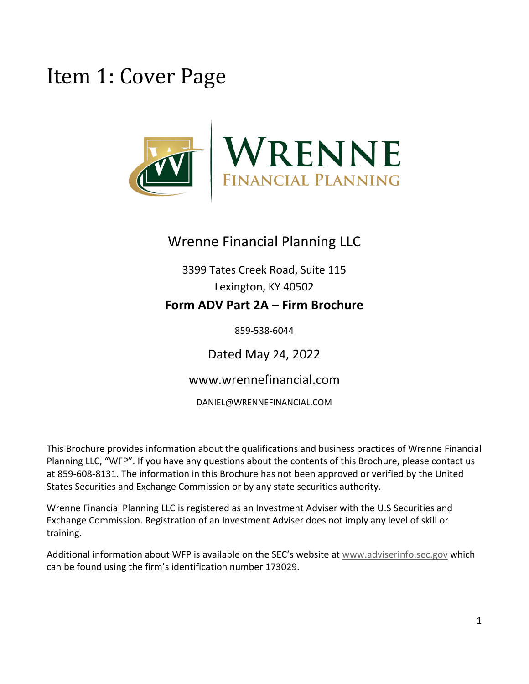## <span id="page-0-0"></span>Item 1: Cover Page



### Wrenne Financial Planning LLC

### 3399 Tates Creek Road, Suite 115 Lexington, KY 40502 **Form ADV Part 2A – Firm Brochure**

859-538-6044

Dated May 24, 2022

### www.wrennefinancial.com

DANIEL@WRENNEFINANCIAL.COM

This Brochure provides information about the qualifications and business practices of Wrenne Financial Planning LLC, "WFP". If you have any questions about the contents of this Brochure, please contact us at 859-608-8131. The information in this Brochure has not been approved or verified by the United States Securities and Exchange Commission or by any state securities authority.

Wrenne Financial Planning LLC is registered as an Investment Adviser with the U.S Securities and Exchange Commission. Registration of an Investment Adviser does not imply any level of skill or training.

Additional information about WFP is available on the SEC's website at [www.adviserinfo.sec.gov](http://www.adviserinfo.sec.gov/) which can be found using the firm's identification number 173029.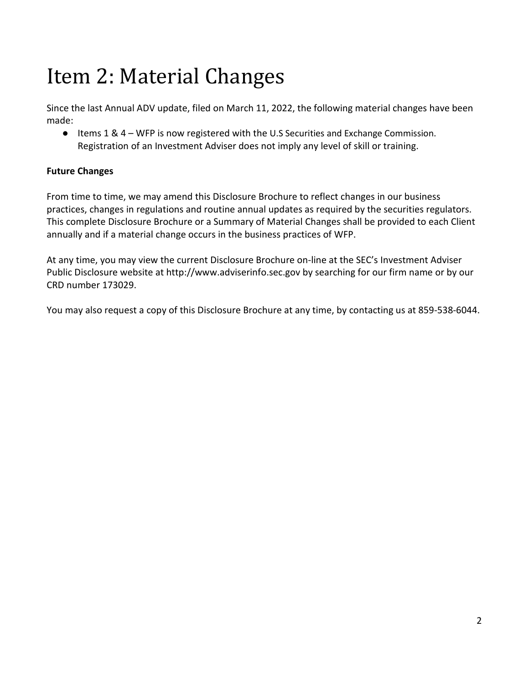# <span id="page-1-0"></span>Item 2: Material Changes

Since the last Annual ADV update, filed on March 11, 2022, the following material changes have been made:

● Items 1 & 4 – WFP is now registered with the U.S Securities and Exchange Commission. Registration of an Investment Adviser does not imply any level of skill or training.

#### **Future Changes**

From time to time, we may amend this Disclosure Brochure to reflect changes in our business practices, changes in regulations and routine annual updates as required by the securities regulators. This complete Disclosure Brochure or a Summary of Material Changes shall be provided to each Client annually and if a material change occurs in the business practices of WFP.

At any time, you may view the current Disclosure Brochure on-line at the SEC's Investment Adviser Public Disclosure website at http://www.adviserinfo.sec.gov by searching for our firm name or by our CRD number 173029.

You may also request a copy of this Disclosure Brochure at any time, by contacting us at 859-538-6044.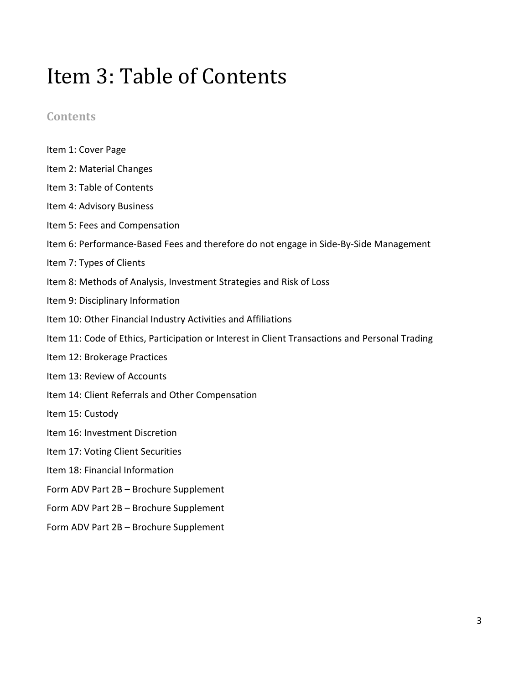## <span id="page-2-0"></span>Item 3: Table of Contents

#### **Contents**

- [Item 1: Cover Page](#page-0-0)
- [Item 2: Material Changes](#page-1-0)
- [Item 3: Table of Contents](#page-2-0)
- [Item 4: Advisory Business](#page-3-0)
- [Item 5: Fees and Compensation](#page-7-0)
- [Item 6: Performance-Based Fees and therefore do not engage in Side-By-Side Management](#page-10-0)
- [Item 7: Types of Clients](#page-10-1)
- [Item 8: Methods of Analysis, Investment Strategies and Risk of Loss](#page-10-2)
- [Item 9: Disciplinary Information](#page-12-0)
- [Item 10: Other Financial Industry Activities and Affiliations](#page-13-0)
- [Item 11: Code of Ethics, Participation or Interest in Client Transactions and Personal Trading](#page-13-1)
- [Item 12: Brokerage Practices](#page-15-0)
- [Item 13: Review of Accounts](#page-16-0)
- [Item 14: Client Referrals and Other Compensation](#page-17-0)
- [Item 15: Custody](#page-17-1)
- [Item 16: Investment Discretion](#page-17-2)
- [Item 17: Voting Client Securities](#page-18-0)
- [Item 18: Financial Information](#page-18-1)
- Form ADV Part 2B [Brochure Supplement](#page-19-0)
- Form ADV Part 2B [Brochure Supplement](#page-21-0)
- Form ADV Part 2B [Brochure Supplement](#page-23-0)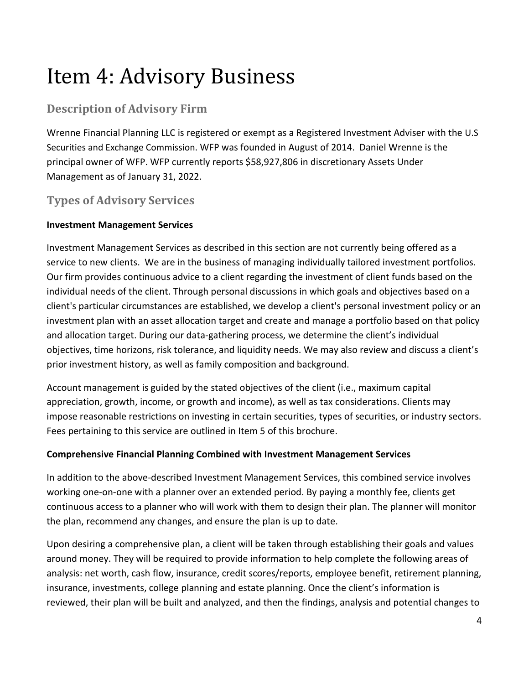# <span id="page-3-0"></span>Item 4: Advisory Business

### **Description of Advisory Firm**

Wrenne Financial Planning LLC is registered or exempt as a Registered Investment Adviser with the U.S Securities and Exchange Commission. WFP was founded in August of 2014. Daniel Wrenne is the principal owner of WFP. WFP currently reports \$58,927,806 in discretionary Assets Under Management as of January 31, 2022.

### **Types of Advisory Services**

### **Investment Management Services**

Investment Management Services as described in this section are not currently being offered as a service to new clients. We are in the business of managing individually tailored investment portfolios. Our firm provides continuous advice to a client regarding the investment of client funds based on the individual needs of the client. Through personal discussions in which goals and objectives based on a client's particular circumstances are established, we develop a client's personal investment policy or an investment plan with an asset allocation target and create and manage a portfolio based on that policy and allocation target. During our data-gathering process, we determine the client's individual objectives, time horizons, risk tolerance, and liquidity needs. We may also review and discuss a client's prior investment history, as well as family composition and background.

Account management is guided by the stated objectives of the client (i.e., maximum capital appreciation, growth, income, or growth and income), as well as tax considerations. Clients may impose reasonable restrictions on investing in certain securities, types of securities, or industry sectors. Fees pertaining to this service are outlined in Item 5 of this brochure.

### **Comprehensive Financial Planning Combined with Investment Management Services**

In addition to the above-described Investment Management Services, this combined service involves working one-on-one with a planner over an extended period. By paying a monthly fee, clients get continuous access to a planner who will work with them to design their plan. The planner will monitor the plan, recommend any changes, and ensure the plan is up to date.

Upon desiring a comprehensive plan, a client will be taken through establishing their goals and values around money. They will be required to provide information to help complete the following areas of analysis: net worth, cash flow, insurance, credit scores/reports, employee benefit, retirement planning, insurance, investments, college planning and estate planning. Once the client's information is reviewed, their plan will be built and analyzed, and then the findings, analysis and potential changes to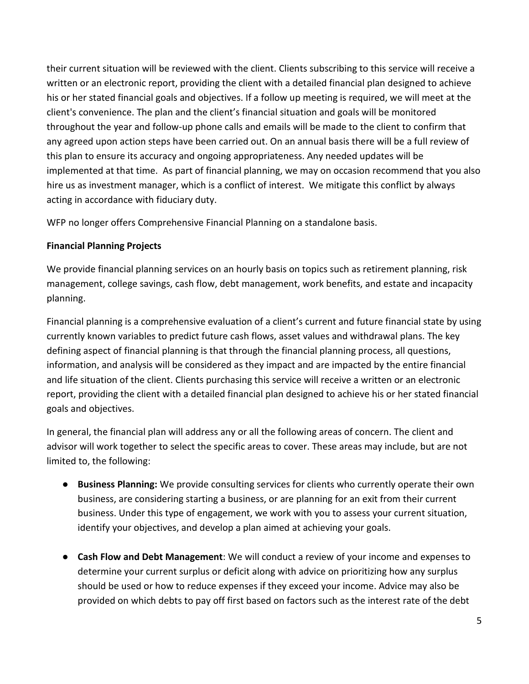their current situation will be reviewed with the client. Clients subscribing to this service will receive a written or an electronic report, providing the client with a detailed financial plan designed to achieve his or her stated financial goals and objectives. If a follow up meeting is required, we will meet at the client's convenience. The plan and the client's financial situation and goals will be monitored throughout the year and follow-up phone calls and emails will be made to the client to confirm that any agreed upon action steps have been carried out. On an annual basis there will be a full review of this plan to ensure its accuracy and ongoing appropriateness. Any needed updates will be implemented at that time. As part of financial planning, we may on occasion recommend that you also hire us as investment manager, which is a conflict of interest. We mitigate this conflict by always acting in accordance with fiduciary duty.

WFP no longer offers Comprehensive Financial Planning on a standalone basis.

#### **Financial Planning Projects**

We provide financial planning services on an hourly basis on topics such as retirement planning, risk management, college savings, cash flow, debt management, work benefits, and estate and incapacity planning.

Financial planning is a comprehensive evaluation of a client's current and future financial state by using currently known variables to predict future cash flows, asset values and withdrawal plans. The key defining aspect of financial planning is that through the financial planning process, all questions, information, and analysis will be considered as they impact and are impacted by the entire financial and life situation of the client. Clients purchasing this service will receive a written or an electronic report, providing the client with a detailed financial plan designed to achieve his or her stated financial goals and objectives.

In general, the financial plan will address any or all the following areas of concern. The client and advisor will work together to select the specific areas to cover. These areas may include, but are not limited to, the following:

- **Business Planning:** We provide consulting services for clients who currently operate their own business, are considering starting a business, or are planning for an exit from their current business. Under this type of engagement, we work with you to assess your current situation, identify your objectives, and develop a plan aimed at achieving your goals.
- **Cash Flow and Debt Management**: We will conduct a review of your income and expenses to determine your current surplus or deficit along with advice on prioritizing how any surplus should be used or how to reduce expenses if they exceed your income. Advice may also be provided on which debts to pay off first based on factors such as the interest rate of the debt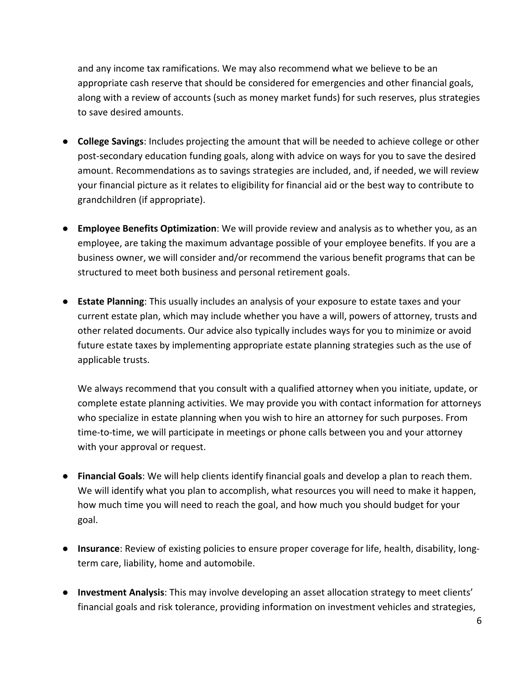and any income tax ramifications. We may also recommend what we believe to be an appropriate cash reserve that should be considered for emergencies and other financial goals, along with a review of accounts (such as money market funds) for such reserves, plus strategies to save desired amounts.

- **College Savings**: Includes projecting the amount that will be needed to achieve college or other post-secondary education funding goals, along with advice on ways for you to save the desired amount. Recommendations as to savings strategies are included, and, if needed, we will review your financial picture as it relates to eligibility for financial aid or the best way to contribute to grandchildren (if appropriate).
- **Employee Benefits Optimization**: We will provide review and analysis as to whether you, as an employee, are taking the maximum advantage possible of your employee benefits. If you are a business owner, we will consider and/or recommend the various benefit programs that can be structured to meet both business and personal retirement goals.
- **Estate Planning**: This usually includes an analysis of your exposure to estate taxes and your current estate plan, which may include whether you have a will, powers of attorney, trusts and other related documents. Our advice also typically includes ways for you to minimize or avoid future estate taxes by implementing appropriate estate planning strategies such as the use of applicable trusts.

We always recommend that you consult with a qualified attorney when you initiate, update, or complete estate planning activities. We may provide you with contact information for attorneys who specialize in estate planning when you wish to hire an attorney for such purposes. From time-to-time, we will participate in meetings or phone calls between you and your attorney with your approval or request.

- **Financial Goals**: We will help clients identify financial goals and develop a plan to reach them. We will identify what you plan to accomplish, what resources you will need to make it happen, how much time you will need to reach the goal, and how much you should budget for your goal.
- **Insurance**: Review of existing policies to ensure proper coverage for life, health, disability, longterm care, liability, home and automobile.
- **Investment Analysis**: This may involve developing an asset allocation strategy to meet clients' financial goals and risk tolerance, providing information on investment vehicles and strategies,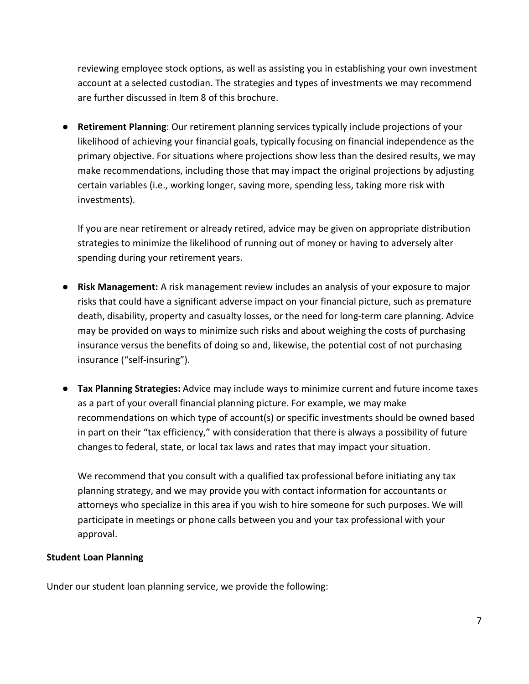reviewing employee stock options, as well as assisting you in establishing your own investment account at a selected custodian. The strategies and types of investments we may recommend are further discussed in Item 8 of this brochure.

● **Retirement Planning**: Our retirement planning services typically include projections of your likelihood of achieving your financial goals, typically focusing on financial independence as the primary objective. For situations where projections show less than the desired results, we may make recommendations, including those that may impact the original projections by adjusting certain variables (i.e., working longer, saving more, spending less, taking more risk with investments).

If you are near retirement or already retired, advice may be given on appropriate distribution strategies to minimize the likelihood of running out of money or having to adversely alter spending during your retirement years.

- **Risk Management:** A risk management review includes an analysis of your exposure to major risks that could have a significant adverse impact on your financial picture, such as premature death, disability, property and casualty losses, or the need for long-term care planning. Advice may be provided on ways to minimize such risks and about weighing the costs of purchasing insurance versus the benefits of doing so and, likewise, the potential cost of not purchasing insurance ("self-insuring").
- **Tax Planning Strategies:** Advice may include ways to minimize current and future income taxes as a part of your overall financial planning picture. For example, we may make recommendations on which type of account(s) or specific investments should be owned based in part on their "tax efficiency," with consideration that there is always a possibility of future changes to federal, state, or local tax laws and rates that may impact your situation.

We recommend that you consult with a qualified tax professional before initiating any tax planning strategy, and we may provide you with contact information for accountants or attorneys who specialize in this area if you wish to hire someone for such purposes. We will participate in meetings or phone calls between you and your tax professional with your approval.

#### **Student Loan Planning**

Under our student loan planning service, we provide the following: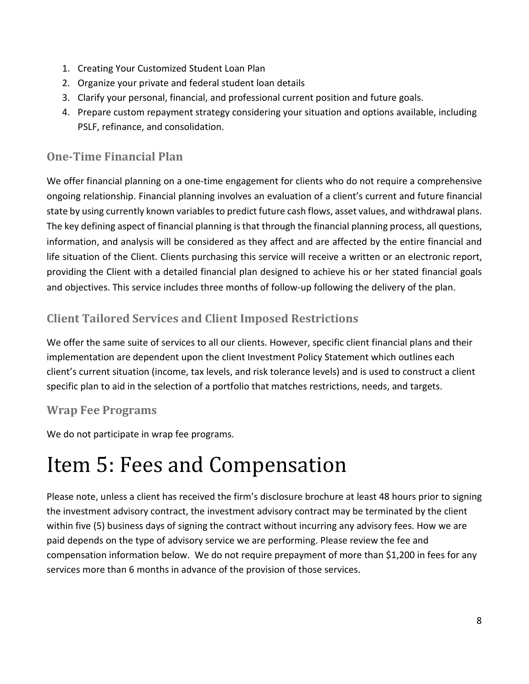- 1. Creating Your Customized Student Loan Plan
- 2. Organize your private and federal student loan details
- 3. Clarify your personal, financial, and professional current position and future goals.
- 4. Prepare custom repayment strategy considering your situation and options available, including PSLF, refinance, and consolidation.

### **One-Time Financial Plan**

We offer financial planning on a one-time engagement for clients who do not require a comprehensive ongoing relationship. Financial planning involves an evaluation of a client's current and future financial state by using currently known variables to predict future cash flows, asset values, and withdrawal plans. The key defining aspect of financial planning is that through the financial planning process, all questions, information, and analysis will be considered as they affect and are affected by the entire financial and life situation of the Client. Clients purchasing this service will receive a written or an electronic report, providing the Client with a detailed financial plan designed to achieve his or her stated financial goals and objectives. This service includes three months of follow-up following the delivery of the plan.

### **Client Tailored Services and Client Imposed Restrictions**

We offer the same suite of services to all our clients. However, specific client financial plans and their implementation are dependent upon the client Investment Policy Statement which outlines each client's current situation (income, tax levels, and risk tolerance levels) and is used to construct a client specific plan to aid in the selection of a portfolio that matches restrictions, needs, and targets.

### **Wrap Fee Programs**

We do not participate in wrap fee programs.

## <span id="page-7-0"></span>Item 5: Fees and Compensation

Please note, unless a client has received the firm's disclosure brochure at least 48 hours prior to signing the investment advisory contract, the investment advisory contract may be terminated by the client within five (5) business days of signing the contract without incurring any advisory fees. How we are paid depends on the type of advisory service we are performing. Please review the fee and compensation information below. We do not require prepayment of more than \$1,200 in fees for any services more than 6 months in advance of the provision of those services.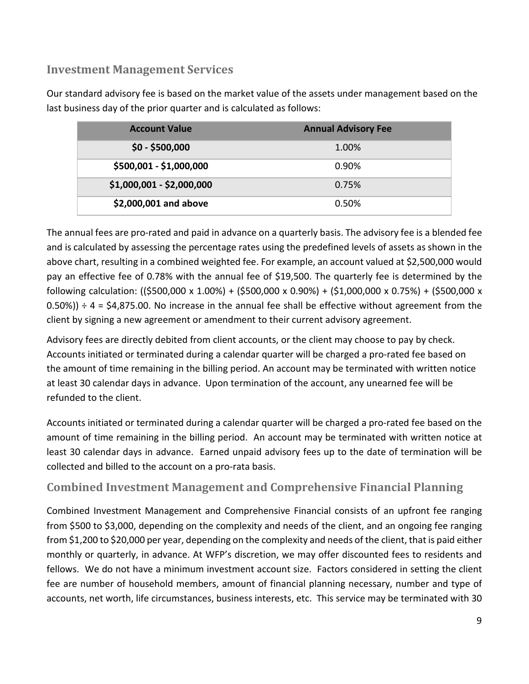### **Investment Management Services**

Our standard advisory fee is based on the market value of the assets under management based on the last business day of the prior quarter and is calculated as follows:

| <b>Account Value</b>      | <b>Annual Advisory Fee</b> |
|---------------------------|----------------------------|
| $$0 - $500,000$           | 1.00%                      |
| \$500,001 - \$1,000,000   | 0.90%                      |
| $$1,000,001 - $2,000,000$ | 0.75%                      |
| \$2,000,001 and above     | 0.50%                      |

The annual fees are pro-rated and paid in advance on a quarterly basis. The advisory fee is a blended fee and is calculated by assessing the percentage rates using the predefined levels of assets as shown in the above chart, resulting in a combined weighted fee. For example, an account valued at \$2,500,000 would pay an effective fee of 0.78% with the annual fee of \$19,500. The quarterly fee is determined by the following calculation: ((\$500,000 x 1.00%) + (\$500,000 x 0.90%) + (\$1,000,000 x 0.75%) + (\$500,000 x  $(0.50%)$ ) ÷ 4 = \$4,875.00. No increase in the annual fee shall be effective without agreement from the client by signing a new agreement or amendment to their current advisory agreement.

Advisory fees are directly debited from client accounts, or the client may choose to pay by check. Accounts initiated or terminated during a calendar quarter will be charged a pro-rated fee based on the amount of time remaining in the billing period. An account may be terminated with written notice at least 30 calendar days in advance. Upon termination of the account, any unearned fee will be refunded to the client.

Accounts initiated or terminated during a calendar quarter will be charged a pro-rated fee based on the amount of time remaining in the billing period. An account may be terminated with written notice at least 30 calendar days in advance. Earned unpaid advisory fees up to the date of termination will be collected and billed to the account on a pro-rata basis.

### **Combined Investment Management and Comprehensive Financial Planning**

Combined Investment Management and Comprehensive Financial consists of an upfront fee ranging from \$500 to \$3,000, depending on the complexity and needs of the client, and an ongoing fee ranging from \$1,200 to \$20,000 per year, depending on the complexity and needs of the client, that is paid either monthly or quarterly, in advance. At WFP's discretion, we may offer discounted fees to residents and fellows. We do not have a minimum investment account size. Factors considered in setting the client fee are number of household members, amount of financial planning necessary, number and type of accounts, net worth, life circumstances, business interests, etc. This service may be terminated with 30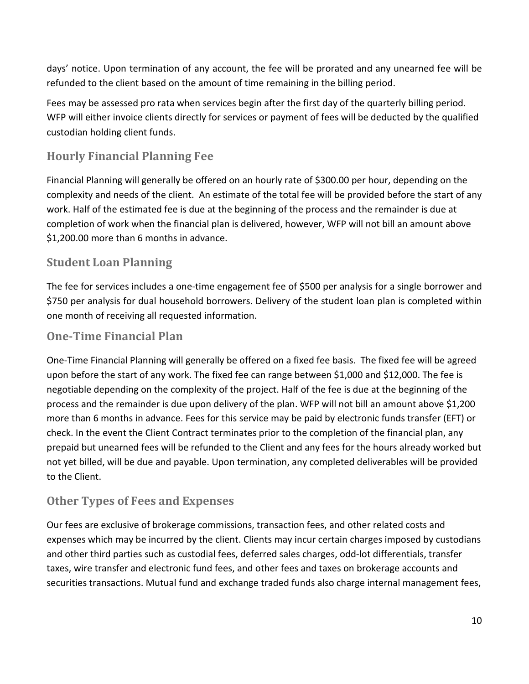days' notice. Upon termination of any account, the fee will be prorated and any unearned fee will be refunded to the client based on the amount of time remaining in the billing period.

Fees may be assessed pro rata when services begin after the first day of the quarterly billing period. WFP will either invoice clients directly for services or payment of fees will be deducted by the qualified custodian holding client funds.

### **Hourly Financial Planning Fee**

Financial Planning will generally be offered on an hourly rate of \$300.00 per hour, depending on the complexity and needs of the client. An estimate of the total fee will be provided before the start of any work. Half of the estimated fee is due at the beginning of the process and the remainder is due at completion of work when the financial plan is delivered, however, WFP will not bill an amount above \$1,200.00 more than 6 months in advance.

### **Student Loan Planning**

The fee for services includes a one-time engagement fee of \$500 per analysis for a single borrower and \$750 per analysis for dual household borrowers. Delivery of the student loan plan is completed within one month of receiving all requested information.

### **One-Time Financial Plan**

One-Time Financial Planning will generally be offered on a fixed fee basis. The fixed fee will be agreed upon before the start of any work. The fixed fee can range between \$1,000 and \$12,000. The fee is negotiable depending on the complexity of the project. Half of the fee is due at the beginning of the process and the remainder is due upon delivery of the plan. WFP will not bill an amount above \$1,200 more than 6 months in advance. Fees for this service may be paid by electronic funds transfer (EFT) or check. In the event the Client Contract terminates prior to the completion of the financial plan, any prepaid but unearned fees will be refunded to the Client and any fees for the hours already worked but not yet billed, will be due and payable. Upon termination, any completed deliverables will be provided to the Client.

### **Other Types of Fees and Expenses**

Our fees are exclusive of brokerage commissions, transaction fees, and other related costs and expenses which may be incurred by the client. Clients may incur certain charges imposed by custodians and other third parties such as custodial fees, deferred sales charges, odd-lot differentials, transfer taxes, wire transfer and electronic fund fees, and other fees and taxes on brokerage accounts and securities transactions. Mutual fund and exchange traded funds also charge internal management fees,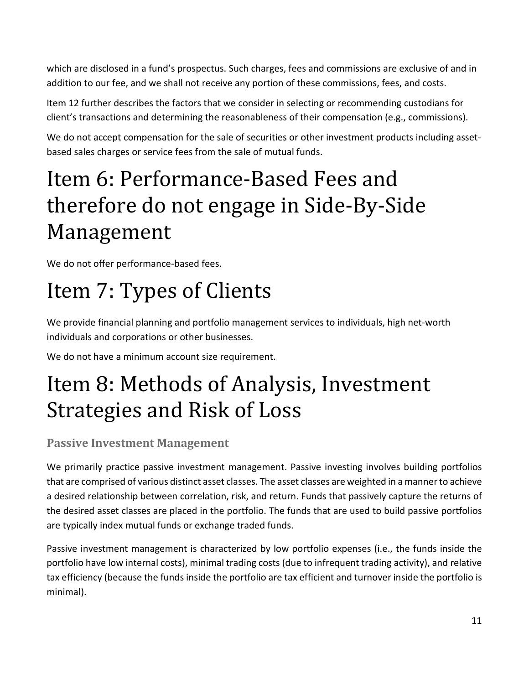which are disclosed in a fund's prospectus. Such charges, fees and commissions are exclusive of and in addition to our fee, and we shall not receive any portion of these commissions, fees, and costs.

Item 12 further describes the factors that we consider in selecting or recommending custodians for client's transactions and determining the reasonableness of their compensation (e.g., commissions).

We do not accept compensation for the sale of securities or other investment products including assetbased sales charges or service fees from the sale of mutual funds.

## <span id="page-10-0"></span>Item 6: Performance-Based Fees and therefore do not engage in Side-By-Side Management

We do not offer performance-based fees.

# <span id="page-10-1"></span>Item 7: Types of Clients

We provide financial planning and portfolio management services to individuals, high net-worth individuals and corporations or other businesses.

We do not have a minimum account size requirement.

## <span id="page-10-2"></span>Item 8: Methods of Analysis, Investment Strategies and Risk of Loss

### **Passive Investment Management**

We primarily practice passive investment management. Passive investing involves building portfolios that are comprised of various distinct asset classes. The asset classes are weighted in a manner to achieve a desired relationship between correlation, risk, and return. Funds that passively capture the returns of the desired asset classes are placed in the portfolio. The funds that are used to build passive portfolios are typically index mutual funds or exchange traded funds.

Passive investment management is characterized by low portfolio expenses (i.e., the funds inside the portfolio have low internal costs), minimal trading costs (due to infrequent trading activity), and relative tax efficiency (because the funds inside the portfolio are tax efficient and turnover inside the portfolio is minimal).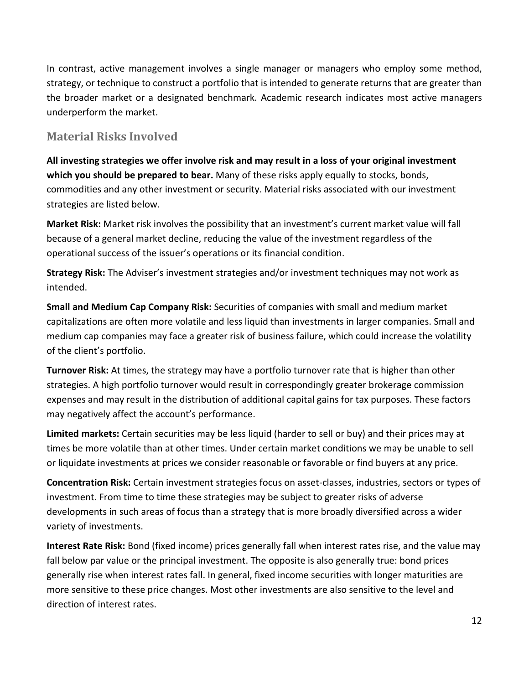In contrast, active management involves a single manager or managers who employ some method, strategy, or technique to construct a portfolio that is intended to generate returns that are greater than the broader market or a designated benchmark. Academic research indicates most active managers underperform the market.

### **Material Risks Involved**

**All investing strategies we offer involve risk and may result in a loss of your original investment which you should be prepared to bear.** Many of these risks apply equally to stocks, bonds, commodities and any other investment or security. Material risks associated with our investment strategies are listed below.

**Market Risk:** Market risk involves the possibility that an investment's current market value will fall because of a general market decline, reducing the value of the investment regardless of the operational success of the issuer's operations or its financial condition.

**Strategy Risk:** The Adviser's investment strategies and/or investment techniques may not work as intended.

**Small and Medium Cap Company Risk:** Securities of companies with small and medium market capitalizations are often more volatile and less liquid than investments in larger companies. Small and medium cap companies may face a greater risk of business failure, which could increase the volatility of the client's portfolio.

**Turnover Risk:** At times, the strategy may have a portfolio turnover rate that is higher than other strategies. A high portfolio turnover would result in correspondingly greater brokerage commission expenses and may result in the distribution of additional capital gains for tax purposes. These factors may negatively affect the account's performance.

**Limited markets:** Certain securities may be less liquid (harder to sell or buy) and their prices may at times be more volatile than at other times. Under certain market conditions we may be unable to sell or liquidate investments at prices we consider reasonable or favorable or find buyers at any price.

**Concentration Risk:** Certain investment strategies focus on asset-classes, industries, sectors or types of investment. From time to time these strategies may be subject to greater risks of adverse developments in such areas of focus than a strategy that is more broadly diversified across a wider variety of investments.

**Interest Rate Risk:** Bond (fixed income) prices generally fall when interest rates rise, and the value may fall below par value or the principal investment. The opposite is also generally true: bond prices generally rise when interest rates fall. In general, fixed income securities with longer maturities are more sensitive to these price changes. Most other investments are also sensitive to the level and direction of interest rates.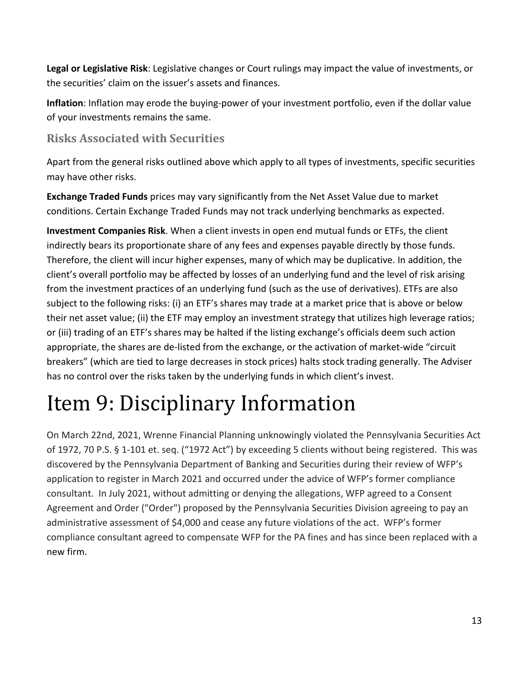**Legal or Legislative Risk**: Legislative changes or Court rulings may impact the value of investments, or the securities' claim on the issuer's assets and finances.

**Inflation**: Inflation may erode the buying-power of your investment portfolio, even if the dollar value of your investments remains the same.

### **Risks Associated with Securities**

Apart from the general risks outlined above which apply to all types of investments, specific securities may have other risks.

**Exchange Traded Funds** prices may vary significantly from the Net Asset Value due to market conditions. Certain Exchange Traded Funds may not track underlying benchmarks as expected.

**Investment Companies Risk**. When a client invests in open end mutual funds or ETFs, the client indirectly bears its proportionate share of any fees and expenses payable directly by those funds. Therefore, the client will incur higher expenses, many of which may be duplicative. In addition, the client's overall portfolio may be affected by losses of an underlying fund and the level of risk arising from the investment practices of an underlying fund (such as the use of derivatives). ETFs are also subject to the following risks: (i) an ETF's shares may trade at a market price that is above or below their net asset value; (ii) the ETF may employ an investment strategy that utilizes high leverage ratios; or (iii) trading of an ETF's shares may be halted if the listing exchange's officials deem such action appropriate, the shares are de-listed from the exchange, or the activation of market-wide "circuit breakers" (which are tied to large decreases in stock prices) halts stock trading generally. The Adviser has no control over the risks taken by the underlying funds in which client's invest.

# <span id="page-12-0"></span>Item 9: Disciplinary Information

On March 22nd, 2021, Wrenne Financial Planning unknowingly violated the Pennsylvania Securities Act of 1972, 70 P.S. § 1-101 et. seq. ("1972 Act") by exceeding 5 clients without being registered. This was discovered by the Pennsylvania Department of Banking and Securities during their review of WFP's application to register in March 2021 and occurred under the advice of WFP's former compliance consultant. In July 2021, without admitting or denying the allegations, WFP agreed to a Consent Agreement and Order ("Order") proposed by the Pennsylvania Securities Division agreeing to pay an administrative assessment of \$4,000 and cease any future violations of the act. WFP's former compliance consultant agreed to compensate WFP for the PA fines and has since been replaced with a new firm.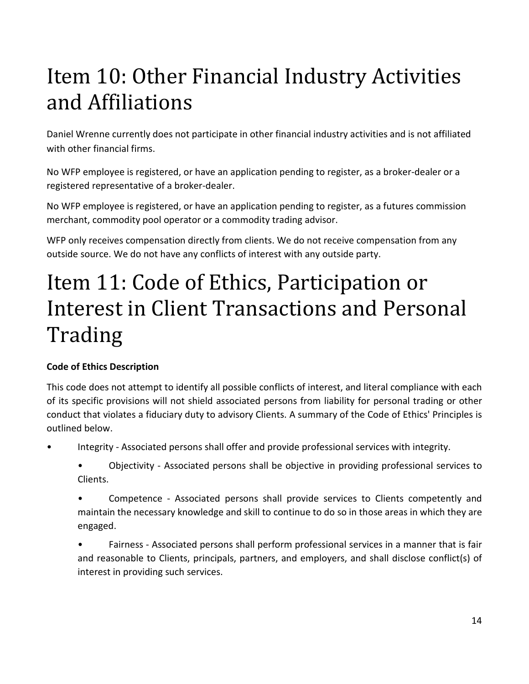# <span id="page-13-0"></span>Item 10: Other Financial Industry Activities and Affiliations

Daniel Wrenne currently does not participate in other financial industry activities and is not affiliated with other financial firms.

No WFP employee is registered, or have an application pending to register, as a broker-dealer or a registered representative of a broker-dealer.

No WFP employee is registered, or have an application pending to register, as a futures commission merchant, commodity pool operator or a commodity trading advisor.

WFP only receives compensation directly from clients. We do not receive compensation from any outside source. We do not have any conflicts of interest with any outside party.

## <span id="page-13-1"></span>Item 11: Code of Ethics, Participation or Interest in Client Transactions and Personal Trading

### **Code of Ethics Description**

This code does not attempt to identify all possible conflicts of interest, and literal compliance with each of its specific provisions will not shield associated persons from liability for personal trading or other conduct that violates a fiduciary duty to advisory Clients. A summary of the Code of Ethics' Principles is outlined below.

- Integrity Associated persons shall offer and provide professional services with integrity.
	- Objectivity Associated persons shall be objective in providing professional services to Clients.
	- Competence Associated persons shall provide services to Clients competently and maintain the necessary knowledge and skill to continue to do so in those areas in which they are engaged.
	- Fairness Associated persons shall perform professional services in a manner that is fair and reasonable to Clients, principals, partners, and employers, and shall disclose conflict(s) of interest in providing such services.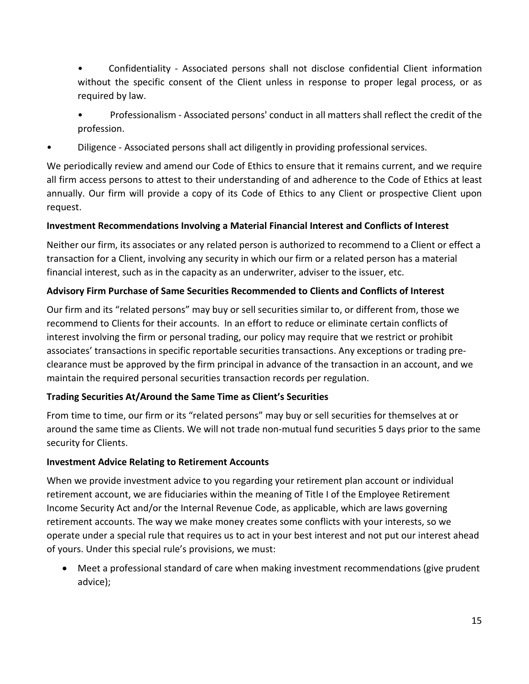• Confidentiality - Associated persons shall not disclose confidential Client information without the specific consent of the Client unless in response to proper legal process, or as required by law.

- Professionalism Associated persons' conduct in all matters shall reflect the credit of the profession.
- Diligence Associated persons shall act diligently in providing professional services.

We periodically review and amend our Code of Ethics to ensure that it remains current, and we require all firm access persons to attest to their understanding of and adherence to the Code of Ethics at least annually. Our firm will provide a copy of its Code of Ethics to any Client or prospective Client upon request.

#### **Investment Recommendations Involving a Material Financial Interest and Conflicts of Interest**

Neither our firm, its associates or any related person is authorized to recommend to a Client or effect a transaction for a Client, involving any security in which our firm or a related person has a material financial interest, such as in the capacity as an underwriter, adviser to the issuer, etc.

#### **Advisory Firm Purchase of Same Securities Recommended to Clients and Conflicts of Interest**

Our firm and its "related persons" may buy or sell securities similar to, or different from, those we recommend to Clients for their accounts. In an effort to reduce or eliminate certain conflicts of interest involving the firm or personal trading, our policy may require that we restrict or prohibit associates' transactions in specific reportable securities transactions. Any exceptions or trading preclearance must be approved by the firm principal in advance of the transaction in an account, and we maintain the required personal securities transaction records per regulation.

#### **Trading Securities At/Around the Same Time as Client's Securities**

From time to time, our firm or its "related persons" may buy or sell securities for themselves at or around the same time as Clients. We will not trade non-mutual fund securities 5 days prior to the same security for Clients.

#### **Investment Advice Relating to Retirement Accounts**

When we provide investment advice to you regarding your retirement plan account or individual retirement account, we are fiduciaries within the meaning of Title I of the Employee Retirement Income Security Act and/or the Internal Revenue Code, as applicable, which are laws governing retirement accounts. The way we make money creates some conflicts with your interests, so we operate under a special rule that requires us to act in your best interest and not put our interest ahead of yours. Under this special rule's provisions, we must:

• Meet a professional standard of care when making investment recommendations (give prudent advice);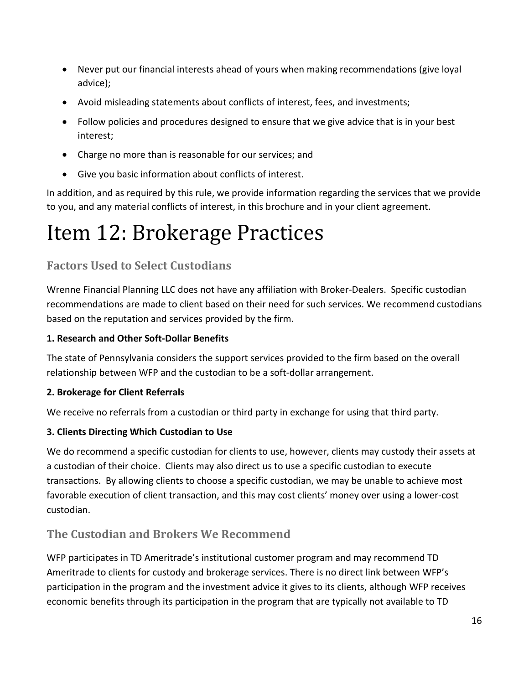- Never put our financial interests ahead of yours when making recommendations (give loyal advice);
- Avoid misleading statements about conflicts of interest, fees, and investments;
- Follow policies and procedures designed to ensure that we give advice that is in your best interest;
- Charge no more than is reasonable for our services; and
- Give you basic information about conflicts of interest.

In addition, and as required by this rule, we provide information regarding the services that we provide to you, and any material conflicts of interest, in this brochure and in your client agreement.

## <span id="page-15-0"></span>Item 12: Brokerage Practices

### **Factors Used to Select Custodians**

Wrenne Financial Planning LLC does not have any affiliation with Broker-Dealers. Specific custodian recommendations are made to client based on their need for such services. We recommend custodians based on the reputation and services provided by the firm.

#### **1. Research and Other Soft-Dollar Benefits**

The state of Pennsylvania considers the support services provided to the firm based on the overall relationship between WFP and the custodian to be a soft-dollar arrangement.

#### **2. Brokerage for Client Referrals**

We receive no referrals from a custodian or third party in exchange for using that third party.

#### **3. Clients Directing Which Custodian to Use**

We do recommend a specific custodian for clients to use, however, clients may custody their assets at a custodian of their choice. Clients may also direct us to use a specific custodian to execute transactions. By allowing clients to choose a specific custodian, we may be unable to achieve most favorable execution of client transaction, and this may cost clients' money over using a lower-cost custodian.

### **The Custodian and Brokers We Recommend**

WFP participates in TD Ameritrade's institutional customer program and may recommend TD Ameritrade to clients for custody and brokerage services. There is no direct link between WFP's participation in the program and the investment advice it gives to its clients, although WFP receives economic benefits through its participation in the program that are typically not available to TD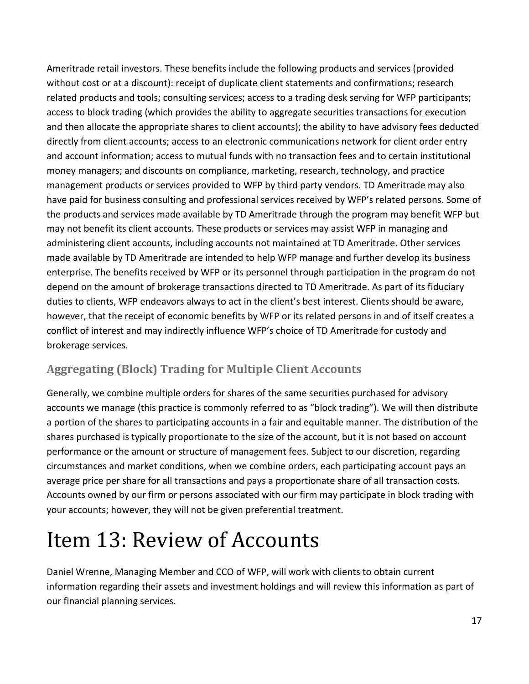Ameritrade retail investors. These benefits include the following products and services (provided without cost or at a discount): receipt of duplicate client statements and confirmations; research related products and tools; consulting services; access to a trading desk serving for WFP participants; access to block trading (which provides the ability to aggregate securities transactions for execution and then allocate the appropriate shares to client accounts); the ability to have advisory fees deducted directly from client accounts; access to an electronic communications network for client order entry and account information; access to mutual funds with no transaction fees and to certain institutional money managers; and discounts on compliance, marketing, research, technology, and practice management products or services provided to WFP by third party vendors. TD Ameritrade may also have paid for business consulting and professional services received by WFP's related persons. Some of the products and services made available by TD Ameritrade through the program may benefit WFP but may not benefit its client accounts. These products or services may assist WFP in managing and administering client accounts, including accounts not maintained at TD Ameritrade. Other services made available by TD Ameritrade are intended to help WFP manage and further develop its business enterprise. The benefits received by WFP or its personnel through participation in the program do not depend on the amount of brokerage transactions directed to TD Ameritrade. As part of its fiduciary duties to clients, WFP endeavors always to act in the client's best interest. Clients should be aware, however, that the receipt of economic benefits by WFP or its related persons in and of itself creates a conflict of interest and may indirectly influence WFP's choice of TD Ameritrade for custody and brokerage services.

### **Aggregating (Block) Trading for Multiple Client Accounts**

Generally, we combine multiple orders for shares of the same securities purchased for advisory accounts we manage (this practice is commonly referred to as "block trading"). We will then distribute a portion of the shares to participating accounts in a fair and equitable manner. The distribution of the shares purchased is typically proportionate to the size of the account, but it is not based on account performance or the amount or structure of management fees. Subject to our discretion, regarding circumstances and market conditions, when we combine orders, each participating account pays an average price per share for all transactions and pays a proportionate share of all transaction costs. Accounts owned by our firm or persons associated with our firm may participate in block trading with your accounts; however, they will not be given preferential treatment.

# <span id="page-16-0"></span>Item 13: Review of Accounts

Daniel Wrenne, Managing Member and CCO of WFP, will work with clients to obtain current information regarding their assets and investment holdings and will review this information as part of our financial planning services.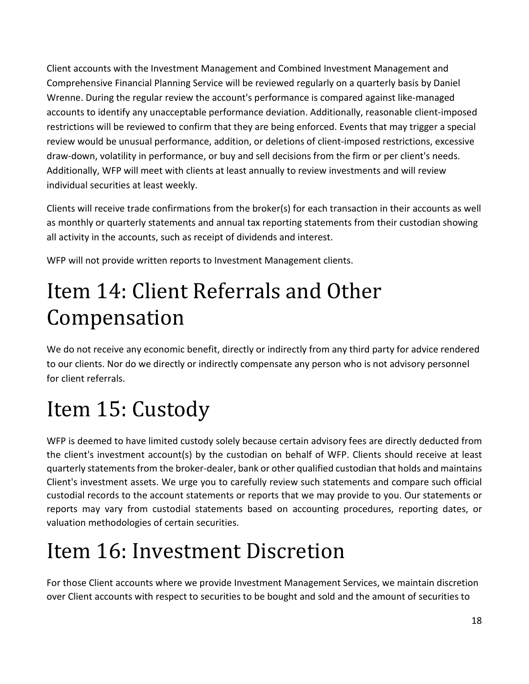Client accounts with the Investment Management and Combined Investment Management and Comprehensive Financial Planning Service will be reviewed regularly on a quarterly basis by Daniel Wrenne. During the regular review the account's performance is compared against like-managed accounts to identify any unacceptable performance deviation. Additionally, reasonable client-imposed restrictions will be reviewed to confirm that they are being enforced. Events that may trigger a special review would be unusual performance, addition, or deletions of client-imposed restrictions, excessive draw-down, volatility in performance, or buy and sell decisions from the firm or per client's needs. Additionally, WFP will meet with clients at least annually to review investments and will review individual securities at least weekly.

Clients will receive trade confirmations from the broker(s) for each transaction in their accounts as well as monthly or quarterly statements and annual tax reporting statements from their custodian showing all activity in the accounts, such as receipt of dividends and interest.

WFP will not provide written reports to Investment Management clients.

# <span id="page-17-0"></span>Item 14: Client Referrals and Other Compensation

We do not receive any economic benefit, directly or indirectly from any third party for advice rendered to our clients. Nor do we directly or indirectly compensate any person who is not advisory personnel for client referrals.

# <span id="page-17-1"></span>Item 15: Custody

WFP is deemed to have limited custody solely because certain advisory fees are directly deducted from the client's investment account(s) by the custodian on behalf of WFP. Clients should receive at least quarterly statements from the broker-dealer, bank or other qualified custodian that holds and maintains Client's investment assets. We urge you to carefully review such statements and compare such official custodial records to the account statements or reports that we may provide to you. Our statements or reports may vary from custodial statements based on accounting procedures, reporting dates, or valuation methodologies of certain securities.

# <span id="page-17-2"></span>Item 16: Investment Discretion

For those Client accounts where we provide Investment Management Services, we maintain discretion over Client accounts with respect to securities to be bought and sold and the amount of securities to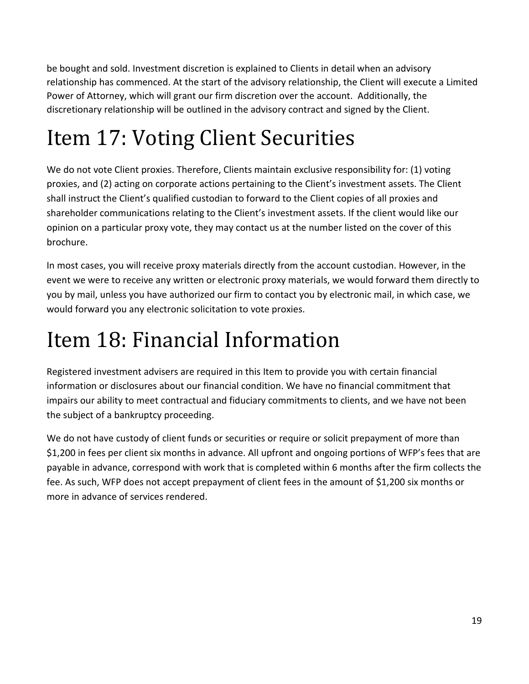be bought and sold. Investment discretion is explained to Clients in detail when an advisory relationship has commenced. At the start of the advisory relationship, the Client will execute a Limited Power of Attorney, which will grant our firm discretion over the account. Additionally, the discretionary relationship will be outlined in the advisory contract and signed by the Client.

# <span id="page-18-0"></span>Item 17: Voting Client Securities

We do not vote Client proxies. Therefore, Clients maintain exclusive responsibility for: (1) voting proxies, and (2) acting on corporate actions pertaining to the Client's investment assets. The Client shall instruct the Client's qualified custodian to forward to the Client copies of all proxies and shareholder communications relating to the Client's investment assets. If the client would like our opinion on a particular proxy vote, they may contact us at the number listed on the cover of this brochure.

In most cases, you will receive proxy materials directly from the account custodian. However, in the event we were to receive any written or electronic proxy materials, we would forward them directly to you by mail, unless you have authorized our firm to contact you by electronic mail, in which case, we would forward you any electronic solicitation to vote proxies.

# <span id="page-18-1"></span>Item 18: Financial Information

Registered investment advisers are required in this Item to provide you with certain financial information or disclosures about our financial condition. We have no financial commitment that impairs our ability to meet contractual and fiduciary commitments to clients, and we have not been the subject of a bankruptcy proceeding.

We do not have custody of client funds or securities or require or solicit prepayment of more than \$1,200 in fees per client six months in advance. All upfront and ongoing portions of WFP's fees that are payable in advance, correspond with work that is completed within 6 months after the firm collects the fee. As such, WFP does not accept prepayment of client fees in the amount of \$1,200 six months or more in advance of services rendered.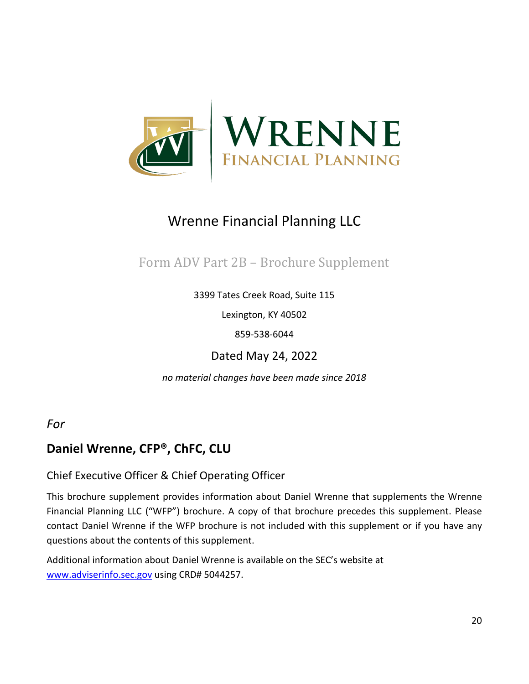

## Wrenne Financial Planning LLC

### <span id="page-19-0"></span>Form ADV Part 2B – Brochure Supplement

3399 Tates Creek Road, Suite 115

Lexington, KY 40502

859-538-6044

Dated May 24, 2022

*no material changes have been made since 2018*

*For*

### **Daniel Wrenne, CFP®, ChFC, CLU**

### Chief Executive Officer & Chief Operating Officer

This brochure supplement provides information about Daniel Wrenne that supplements the Wrenne Financial Planning LLC ("WFP") brochure. A copy of that brochure precedes this supplement. Please contact Daniel Wrenne if the WFP brochure is not included with this supplement or if you have any questions about the contents of this supplement.

Additional information about Daniel Wrenne is available on the SEC's website at [www.adviserinfo.sec.gov](http://www.adviserinfo.sec.gov/) using CRD# 5044257.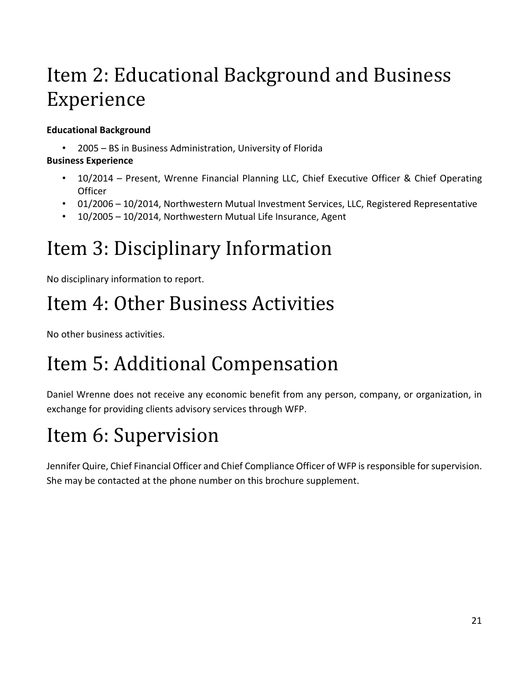## Item 2: Educational Background and Business Experience

### **Educational Background**

• 2005 – BS in Business Administration, University of Florida

#### **Business Experience**

- 10/2014 Present, Wrenne Financial Planning LLC, Chief Executive Officer & Chief Operating **Officer**
- 01/2006 10/2014, Northwestern Mutual Investment Services, LLC, Registered Representative
- 10/2005 10/2014, Northwestern Mutual Life Insurance, Agent

## Item 3: Disciplinary Information

No disciplinary information to report.

## Item 4: Other Business Activities

No other business activities.

## Item 5: Additional Compensation

Daniel Wrenne does not receive any economic benefit from any person, company, or organization, in exchange for providing clients advisory services through WFP.

## Item 6: Supervision

Jennifer Quire, Chief Financial Officer and Chief Compliance Officer of WFP is responsible for supervision. She may be contacted at the phone number on this brochure supplement.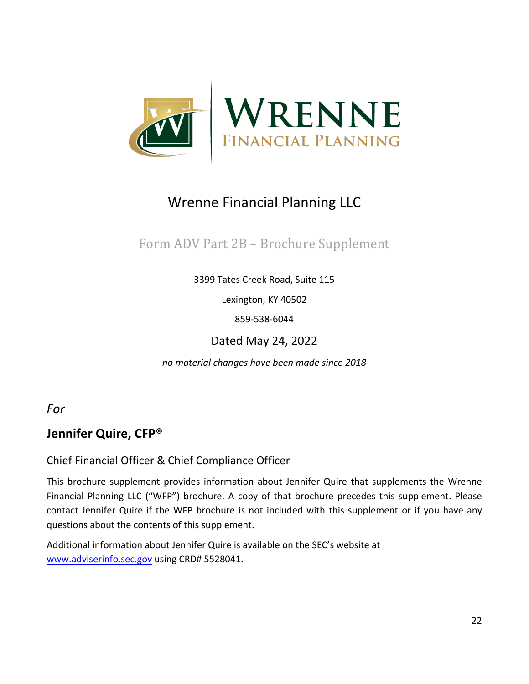

## Wrenne Financial Planning LLC

### <span id="page-21-0"></span>Form ADV Part 2B – Brochure Supplement

3399 Tates Creek Road, Suite 115

Lexington, KY 40502

859-538-6044

Dated May 24, 2022

*no material changes have been made since 2018*

*For*

### **Jennifer Quire, CFP®**

### Chief Financial Officer & Chief Compliance Officer

This brochure supplement provides information about Jennifer Quire that supplements the Wrenne Financial Planning LLC ("WFP") brochure. A copy of that brochure precedes this supplement. Please contact Jennifer Quire if the WFP brochure is not included with this supplement or if you have any questions about the contents of this supplement.

Additional information about Jennifer Quire is available on the SEC's website at [www.adviserinfo.sec.gov](http://www.adviserinfo.sec.gov/) using CRD# 5528041.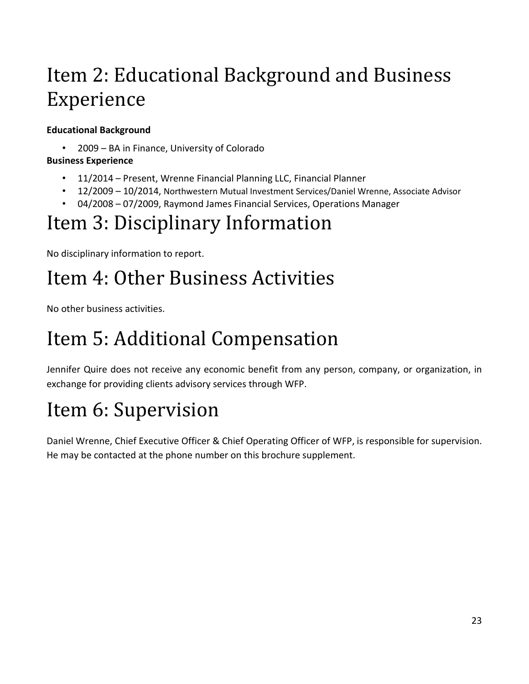## Item 2: Educational Background and Business Experience

### **Educational Background**

• 2009 – BA in Finance, University of Colorado

#### **Business Experience**

- 11/2014 Present, Wrenne Financial Planning LLC, Financial Planner
- 12/2009 10/2014, Northwestern Mutual Investment Services/Daniel Wrenne, Associate Advisor
- 04/2008 07/2009, Raymond James Financial Services, Operations Manager

## Item 3: Disciplinary Information

No disciplinary information to report.

## Item 4: Other Business Activities

No other business activities.

## Item 5: Additional Compensation

Jennifer Quire does not receive any economic benefit from any person, company, or organization, in exchange for providing clients advisory services through WFP.

## Item 6: Supervision

Daniel Wrenne, Chief Executive Officer & Chief Operating Officer of WFP, is responsible for supervision. He may be contacted at the phone number on this brochure supplement.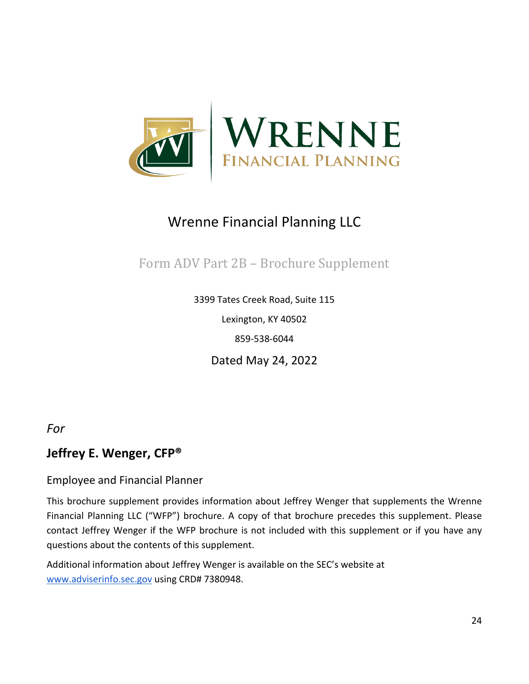

## Wrenne Financial Planning LLC

<span id="page-23-0"></span>Form ADV Part 2B – Brochure Supplement

3399 Tates Creek Road, Suite 115 Lexington, KY 40502 859-538-6044

Dated May 24, 2022

*For*

### **Jeffrey E. Wenger, CFP®**

Employee and Financial Planner

This brochure supplement provides information about Jeffrey Wenger that supplements the Wrenne Financial Planning LLC ("WFP") brochure. A copy of that brochure precedes this supplement. Please contact Jeffrey Wenger if the WFP brochure is not included with this supplement or if you have any questions about the contents of this supplement.

Additional information about Jeffrey Wenger is available on the SEC's website at [www.adviserinfo.sec.gov](http://www.adviserinfo.sec.gov/) using CRD# 7380948.